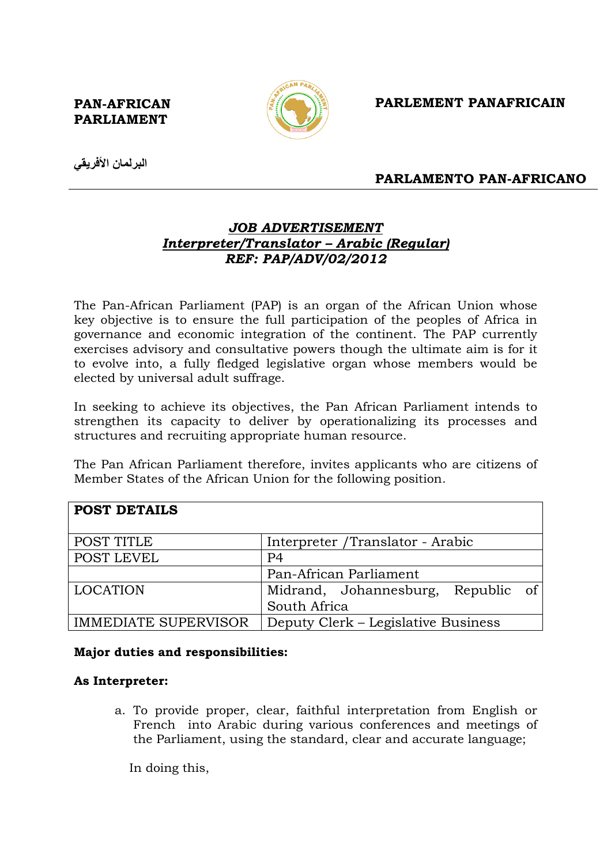PAN-AFRICAN PARLIAMENT



## PARLEMENT PANAFRICAIN

البرلمان الأفريقي

## PARLAMENTO PAN-AFRICANO

# JOB ADVERTISEMENT Interpreter/Translator – Arabic (Regular) REF: PAP/ADV/02/2012

The Pan-African Parliament (PAP) is an organ of the African Union whose key objective is to ensure the full participation of the peoples of Africa in governance and economic integration of the continent. The PAP currently exercises advisory and consultative powers though the ultimate aim is for it to evolve into, a fully fledged legislative organ whose members would be elected by universal adult suffrage.

In seeking to achieve its objectives, the Pan African Parliament intends to strengthen its capacity to deliver by operationalizing its processes and structures and recruiting appropriate human resource.

The Pan African Parliament therefore, invites applicants who are citizens of Member States of the African Union for the following position.

| <b>POST DETAILS</b>         |                                       |
|-----------------------------|---------------------------------------|
| POST TITLE                  | Interpreter /Translator - Arabic      |
| POST LEVEL                  | P <sub>4</sub>                        |
|                             | Pan-African Parliament                |
| <b>LOCATION</b>             | Midrand, Johannesburg,<br>Republic of |
|                             | South Africa                          |
| <b>IMMEDIATE SUPERVISOR</b> | Deputy Clerk – Legislative Business   |

#### Major duties and responsibilities:

#### As Interpreter:

a. To provide proper, clear, faithful interpretation from English or French into Arabic during various conferences and meetings of the Parliament, using the standard, clear and accurate language;

In doing this,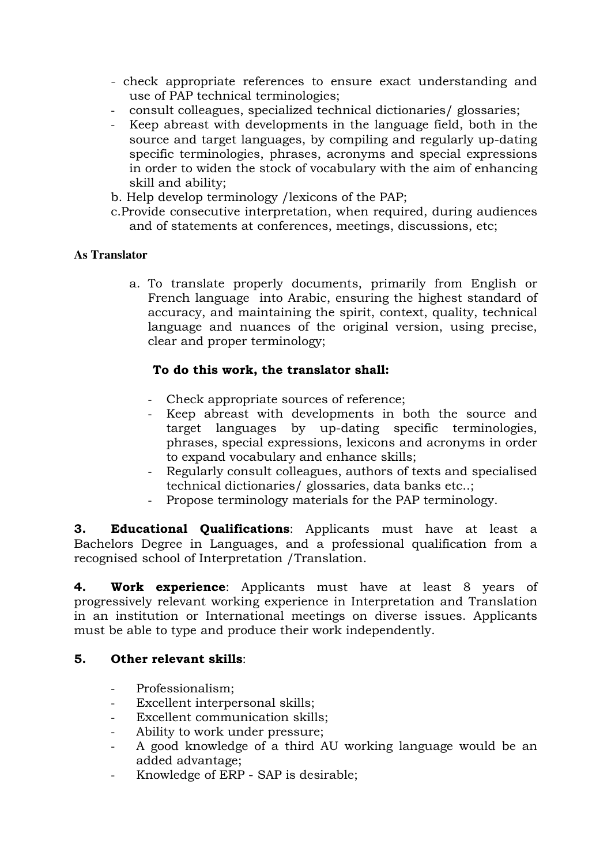- check appropriate references to ensure exact understanding and use of PAP technical terminologies;
- consult colleagues, specialized technical dictionaries/ glossaries;
- Keep abreast with developments in the language field, both in the source and target languages, by compiling and regularly up-dating specific terminologies, phrases, acronyms and special expressions in order to widen the stock of vocabulary with the aim of enhancing skill and ability;
- b. Help develop terminology /lexicons of the PAP;
- c.Provide consecutive interpretation, when required, during audiences and of statements at conferences, meetings, discussions, etc;

### **As Translator**

a. To translate properly documents, primarily from English or French language into Arabic, ensuring the highest standard of accuracy, and maintaining the spirit, context, quality, technical language and nuances of the original version, using precise, clear and proper terminology;

### To do this work, the translator shall:

- Check appropriate sources of reference;
- Keep abreast with developments in both the source and target languages by up-dating specific terminologies, phrases, special expressions, lexicons and acronyms in order to expand vocabulary and enhance skills;
- Regularly consult colleagues, authors of texts and specialised technical dictionaries/ glossaries, data banks etc..;
- Propose terminology materials for the PAP terminology.

**3. Educational Qualifications:** Applicants must have at least a Bachelors Degree in Languages, and a professional qualification from a recognised school of Interpretation /Translation.

4. Work experience: Applicants must have at least 8 years of progressively relevant working experience in Interpretation and Translation in an institution or International meetings on diverse issues. Applicants must be able to type and produce their work independently.

#### 5. Other relevant skills:

- Professionalism:
- Excellent interpersonal skills:
- Excellent communication skills;
- Ability to work under pressure;
- A good knowledge of a third AU working language would be an added advantage;
- Knowledge of ERP SAP is desirable;